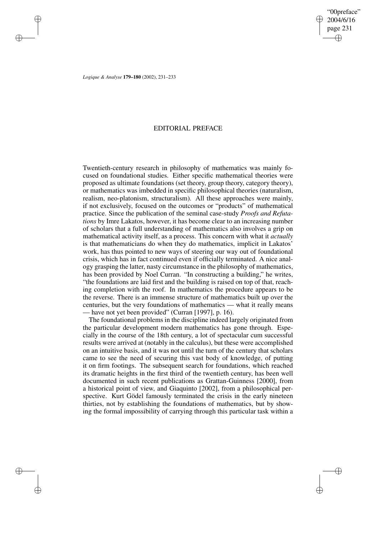✐

✐

*Logique & Analyse* **179–180** (2002), 231–233

✐

✐

✐

✐

## EDITORIAL PREFACE

Twentieth-century research in philosophy of mathematics was mainly focused on foundational studies. Either specific mathematical theories were proposed as ultimate foundations (set theory, group theory, category theory), or mathematics was imbedded in specific philosophical theories (naturalism, realism, neo-platonism, structuralism). All these approaches were mainly, if not exclusively, focused on the outcomes or "products" of mathematical practice. Since the publication of the seminal case-study *Proofs and Refutations* by Imre Lakatos, however, it has become clear to an increasing number of scholars that a full understanding of mathematics also involves a grip on mathematical activity itself, as a process. This concern with what it *actually* is that mathematicians do when they do mathematics, implicit in Lakatos' work, has thus pointed to new ways of steering our way out of foundational crisis, which has in fact continued even if officially terminated. A nice analogy grasping the latter, nasty circumstance in the philosophy of mathematics, has been provided by Noel Curran. "In constructing a building," he writes, "the foundations are laid first and the building is raised on top of that, reaching completion with the roof. In mathematics the procedure appears to be the reverse. There is an immense structure of mathematics built up over the centuries, but the very foundations of mathematics — what it really means have not yet been provided" (Curran [1997], p. 16).

The foundational problems in the discipline indeed largely originated from the particular development modern mathematics has gone through. Especially in the course of the 18th century, a lot of spectacular cum successful results were arrived at (notably in the calculus), but these were accomplished on an intuitive basis, and it was not until the turn of the century that scholars came to see the need of securing this vast body of knowledge, of putting it on firm footings. The subsequent search for foundations, which reached its dramatic heights in the first third of the twentieth century, has been well documented in such recent publications as Grattan-Guinness [2000], from a historical point of view, and Giaquinto [2002], from a philosophical perspective. Kurt Gödel famously terminated the crisis in the early nineteen thirties, not by establishing the foundations of mathematics, but by showing the formal impossibility of carrying through this particular task within a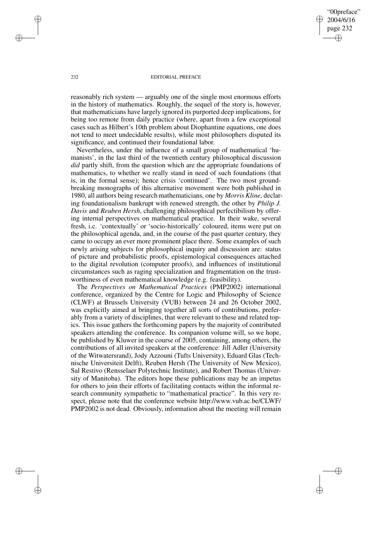"00preface" 2004/6/16 page 232 ✐ ✐

✐

✐

## 232 EDITORIAL PREFACE

reasonably rich system — arguably one of the single most enormous efforts in the history of mathematics. Roughly, the sequel of the story is, however, that mathematicians have largely ignored its purported deep implications, for being too remote from daily practice (where, apart from a few exceptional cases such as Hilbert's 10th problem about Diophantine equations, one does not tend to meet undecidable results), while most philosophers disputed its significance, and continued their foundational labor.

Nevertheless, under the influence of a small group of mathematical 'humanists', in the last third of the twentieth century philosophical discussion *did* partly shift, from the question which are the appropriate foundations of mathematics, to whether we really stand in need of such foundations (that is, in the formal sense); hence crisis 'continued'. The two most groundbreaking monographs of this alternative movement were both published in 1980, all authors being research mathematicians, one by *Morris Kline*, declaring foundationalism bankrupt with renewed strength, the other by *Philip J. Davis* and *Reuben Hersh*, challenging philosophical perfectibilism by offering internal perspectives on mathematical practice. In their wake, several fresh, i.c. 'contextually' or 'socio-historically' coloured, items were put on the philosophical agenda, and, in the course of the past quarter century, they came to occupy an ever more prominent place there. Some examples of such newly arising subjects for philosophical inquiry and discussion are: status of picture and probabilistic proofs, epistemological consequences attached to the digital revolution (computer proofs), and influences of institutional circumstances such as raging specialization and fragmentation on the trustworthiness of even mathematical knowledge (e.g. feasibility).

The *Perspectives on Mathematical Practices* (PMP2002) international conference, organized by the Centre for Logic and Philosophy of Science (CLWF) at Brussels University (VUB) between 24 and 26 October 2002, was explicitly aimed at bringing together all sorts of contributions, preferably from a variety of disciplines, that were relevant to these and related topics. This issue gathers the forthcoming papers by the majority of contributed speakers attending the conference. Its companion volume will, so we hope, be published by Kluwer in the course of 2005, containing, among others, the contributions of all invited speakers at the conference: Jill Adler (University of the Witwatersrand), Jody Azzouni (Tufts University), Eduard Glas (Technische Universiteit Delft), Reuben Hersh (The University of New Mexico), Sal Restivo (Rensselaer Polytechnic Institute), and Robert Thomas (University of Manitoba). The editors hope these publications may be an impetus for others to join their efforts of facilitating contacts within the informal research community sympathetic to "mathematical practice". In this very respect, please note that the conference website http://www.vub.ac.be/CLWF/ PMP2002 is not dead. Obviously, information about the meeting will remain

✐

✐

✐

✐